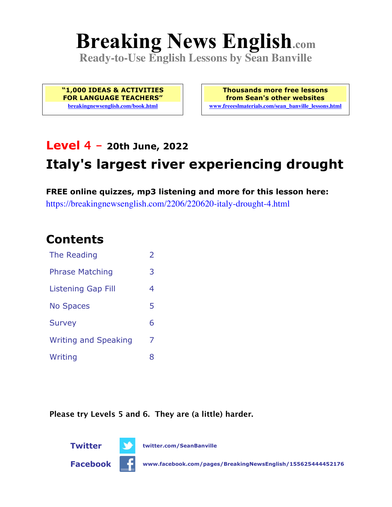# **Breaking News English.com**

**Ready-to-Use English Lessons by Sean Banville**

**"1,000 IDEAS & ACTIVITIES FOR LANGUAGE TEACHERS" breakingnewsenglish.com/book.html**

**Thousands more free lessons from Sean's other websites www.freeeslmaterials.com/sean\_banville\_lessons.html**

# **Level 4 - 20th June, 2022**

# **Italy's largest river experiencing drought**

**FREE online quizzes, mp3 listening and more for this lesson here:** https://breakingnewsenglish.com/2206/220620-italy-drought-4.html

### **Contents**

| The Reading                 | $\overline{2}$ |
|-----------------------------|----------------|
| <b>Phrase Matching</b>      | 3              |
| <b>Listening Gap Fill</b>   | 4              |
| <b>No Spaces</b>            | 5              |
| <b>Survey</b>               | 6              |
| <b>Writing and Speaking</b> | 7              |
| Writing                     | 8              |

**Please try Levels 5 and 6. They are (a little) harder.**





**Twitter twitter.com/SeanBanville**

**Facebook www.facebook.com/pages/BreakingNewsEnglish/155625444452176**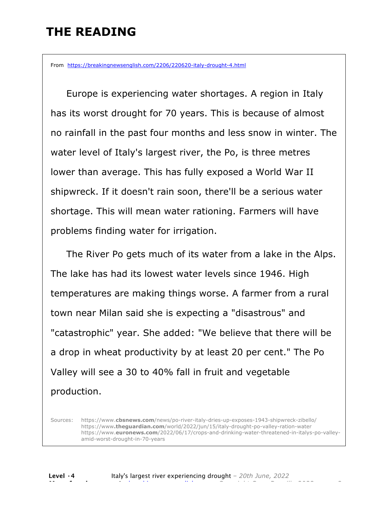## **THE READING**

From https://breakingnewsenglish.com/2206/220620-italy-drought-4.html

 Europe is experiencing water shortages. A region in Italy has its worst drought for 70 years. This is because of almost no rainfall in the past four months and less snow in winter. The water level of Italy's largest river, the Po, is three metres lower than average. This has fully exposed a World War II shipwreck. If it doesn't rain soon, there'll be a serious water shortage. This will mean water rationing. Farmers will have problems finding water for irrigation.

 The River Po gets much of its water from a lake in the Alps. The lake has had its lowest water levels since 1946. High temperatures are making things worse. A farmer from a rural town near Milan said she is expecting a "disastrous" and "catastrophic" year. She added: "We believe that there will be a drop in wheat productivity by at least 20 per cent." The Po Valley will see a 30 to 40% fall in fruit and vegetable production.

Sources: https://www.**cbsnews.com**/news/po-river-italy-dries-up-exposes-1943-shipwreck-zibello/ https://www**.theguardian.com**/world/2022/jun/15/italy-drought-po-valley-ration-water https://www.**euronews.com**/2022/06/17/crops-and-drinking-water-threatened-in-italys-po-valleyamid-worst-drought-in-70-years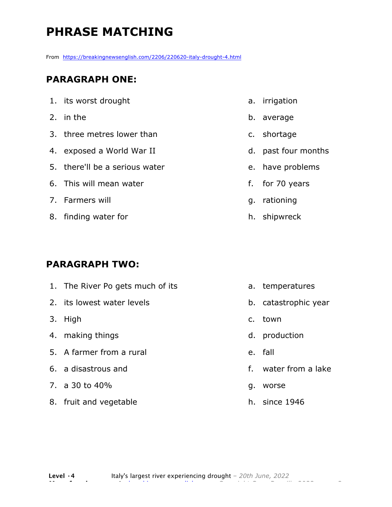# **PHRASE MATCHING**

From https://breakingnewsenglish.com/2206/220620-italy-drought-4.html

#### **PARAGRAPH ONE:**

| 1. its worst drought           |
|--------------------------------|
| 2. in the                      |
| 3. three metres lower than     |
| 4. exposed a World War II      |
| 5. there'll be a serious water |
| 6. This will mean water        |
| 7. Farmers will                |
| 8. finding water for           |

#### **PARAGRAPH TWO:**

| 1. The River Po gets much of its |    | a. temperatures      |
|----------------------------------|----|----------------------|
| 2. its lowest water levels       |    | b. catastrophic year |
| 3. High                          |    | c. town              |
| 4. making things                 |    | d. production        |
| 5. A farmer from a rural         |    | e. fall              |
| 6. a disastrous and              |    | f. water from a lake |
| 7. a 30 to 40%                   | g. | worse                |
| 8. fruit and vegetable           |    | h. since 1946        |

a. irrigation

- b. average
- c. shortage
- d. past four months
- e. have problems
- f. for 70 years
- g. rationing
- h. shipwreck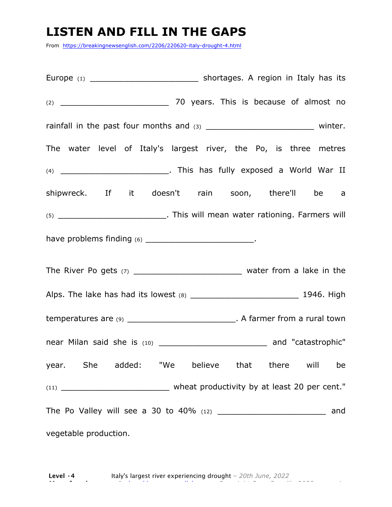### **LISTEN AND FILL IN THE GAPS**

From https://breakingnewsenglish.com/2206/220620-italy-drought-4.html

Europe (1) Europe (1) Europe (1) (2) \_\_\_\_\_\_\_\_\_\_\_\_\_\_\_\_\_\_\_ 70 years. This is because of almost no rainfall in the past four months and (3) \_\_\_\_\_\_\_\_\_\_\_\_\_\_\_\_\_\_\_\_\_\_\_\_\_\_\_\_\_ winter. The water level of Italy's largest river, the Po, is three metres (4) \_\_\_\_\_\_\_\_\_\_\_\_\_\_\_\_\_\_\_. This has fully exposed a World War II shipwreck. If it doesn't rain soon, there'll be a (5) \_\_\_\_\_\_\_\_\_\_\_\_\_\_\_\_\_\_\_. This will mean water rationing. Farmers will have problems finding (6) \_\_\_\_\_\_\_\_\_\_\_\_\_\_\_\_\_\_\_. The River Po gets  $(7)$  \_\_\_\_\_\_\_\_\_\_\_\_\_\_\_\_\_\_\_\_\_\_\_\_\_\_\_\_\_\_\_\_ water from a lake in the Alps. The lake has had its lowest (8) \_\_\_\_\_\_\_\_\_\_\_\_\_\_\_\_\_\_\_ 1946. High temperatures are (9) \_\_\_\_\_\_\_\_\_\_\_\_\_\_\_\_\_\_\_. A farmer from a rural town near Milan said she is (10) \_\_\_\_\_\_\_\_\_\_\_\_\_\_\_\_\_\_\_\_\_\_\_\_\_\_\_ and "catastrophic" year. She added: "We believe that there will be (11) \_\_\_\_\_\_\_\_\_\_\_\_\_\_\_\_\_\_\_ wheat productivity by at least 20 per cent." The Po Valley will see a 30 to 40% (12) \_\_\_\_\_\_\_\_\_\_\_\_\_\_\_\_\_\_\_\_\_\_\_\_\_\_\_ and vegetable production.

**Level ·4** Italy's largest river experiencing drought *– 20th June, 2022* **More free lessons at** breakingnewsenglish.com - Copyright Sean Banville 2022 4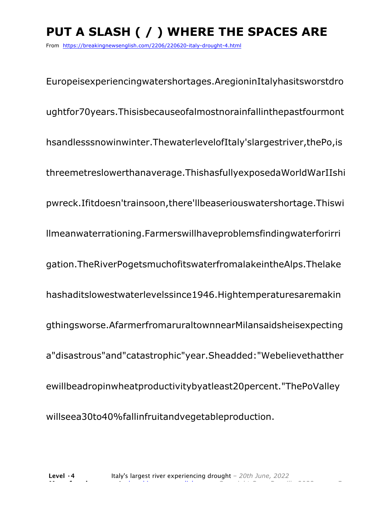# **PUT A SLASH ( / ) WHERE THE SPACES ARE**

From https://breakingnewsenglish.com/2206/220620-italy-drought-4.html

Europeisexperiencingwatershortages.AregioninItalyhasitsworstdro ughtfor70years.Thisisbecauseofalmostnorainfallinthepastfourmont hsandlesssnowinwinter.ThewaterlevelofItaly'slargestriver,thePo,is threemetreslowerthanaverage.ThishasfullyexposedaWorldWarIIshi pwreck.Ifitdoesn'trainsoon,there'llbeaseriouswatershortage.Thiswi llmeanwaterrationing.Farmerswillhaveproblemsfindingwaterforirri gation.TheRiverPogetsmuchofitswaterfromalakeintheAlps.Thelake hashaditslowestwaterlevelssince1946.Hightemperaturesaremakin gthingsworse.AfarmerfromaruraltownnearMilansaidsheisexpecting a"disastrous"and"catastrophic"year.Sheadded:"Webelievethatther ewillbeadropinwheatproductivitybyatleast20percent."ThePoValley willseea30to40%fallinfruitandvegetableproduction.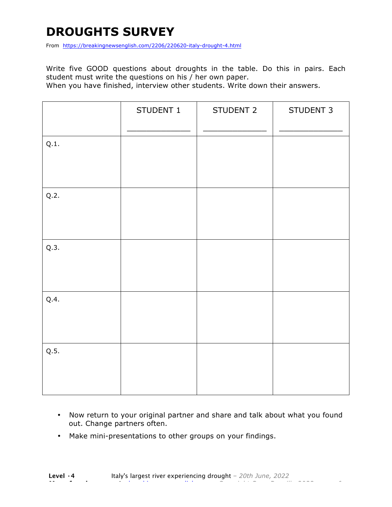# **DROUGHTS SURVEY**

From https://breakingnewsenglish.com/2206/220620-italy-drought-4.html

Write five GOOD questions about droughts in the table. Do this in pairs. Each student must write the questions on his / her own paper.

When you have finished, interview other students. Write down their answers.

|      | STUDENT 1 | STUDENT 2 | STUDENT 3 |
|------|-----------|-----------|-----------|
| Q.1. |           |           |           |
| Q.2. |           |           |           |
| Q.3. |           |           |           |
| Q.4. |           |           |           |
| Q.5. |           |           |           |

- Now return to your original partner and share and talk about what you found out. Change partners often.
- Make mini-presentations to other groups on your findings.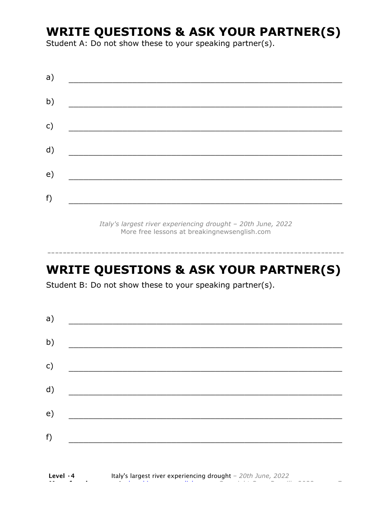## **WRITE QUESTIONS & ASK YOUR PARTNER(S)**

Student A: Do not show these to your speaking partner(s).

| a) |  |  |
|----|--|--|
| b) |  |  |
| c) |  |  |
| d) |  |  |
| e) |  |  |
| f) |  |  |

*Italy's largest river experiencing drought – 20th June, 2022* More free lessons at breakingnewsenglish.com

### **WRITE QUESTIONS & ASK YOUR PARTNER(S)**

-----------------------------------------------------------------------------

Student B: Do not show these to your speaking partner(s).

| a)            |  |  |
|---------------|--|--|
| b)            |  |  |
| $\mathsf{c})$ |  |  |
| d)            |  |  |
| e)            |  |  |
| f)            |  |  |
|               |  |  |